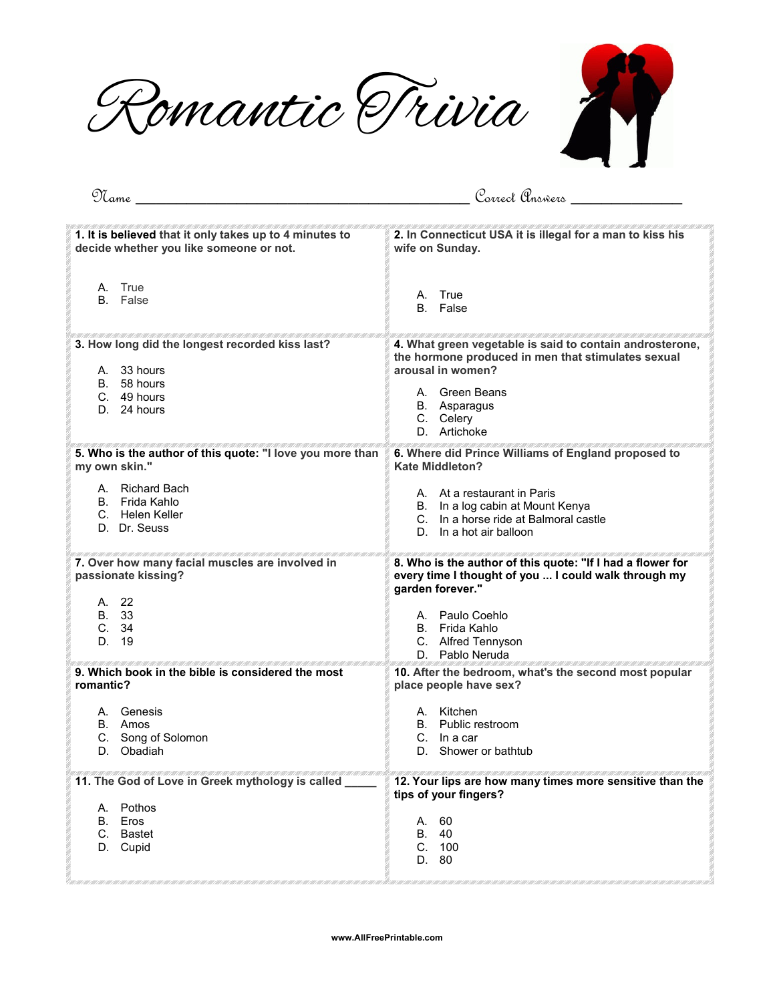Romantic Trivia



Name \_\_\_\_\_\_\_\_\_\_\_\_\_\_\_\_\_\_\_\_\_\_\_\_\_\_\_\_\_\_\_\_\_ Correct Answers \_\_\_\_\_\_\_\_\_\_\_

| 1. It is believed that it only takes up to 4 minutes to                                                     | 2. In Connecticut USA it is illegal for a man to kiss his                                                                                                                                          |
|-------------------------------------------------------------------------------------------------------------|----------------------------------------------------------------------------------------------------------------------------------------------------------------------------------------------------|
| decide whether you like someone or not.                                                                     | wife on Sunday.                                                                                                                                                                                    |
| True<br>А.<br>B. False                                                                                      | A. True<br>B. False                                                                                                                                                                                |
| 3. How long did the longest recorded kiss last?<br>A. 33 hours<br>B. 58 hours<br>C. 49 hours<br>D. 24 hours | 4. What green vegetable is said to contain androsterone,<br>the hormone produced in men that stimulates sexual<br>arousal in women?<br>A. Green Beans<br>B. Asparagus<br>C. Celery<br>D. Artichoke |
| 5. Who is the author of this quote: "I love you more than<br>my own skin."                                  | 6. Where did Prince Williams of England proposed to<br><b>Kate Middleton?</b>                                                                                                                      |
| A. Richard Bach<br>B. Frida Kahlo<br>C. Helen Keller<br>D. Dr. Seuss                                        | A. At a restaurant in Paris<br>B. In a log cabin at Mount Kenya<br>C. In a horse ride at Balmoral castle<br>D. In a hot air balloon                                                                |
|                                                                                                             |                                                                                                                                                                                                    |
| 7. Over how many facial muscles are involved in<br>passionate kissing?                                      | 8. Who is the author of this quote: "If I had a flower for<br>every time I thought of you  I could walk through my                                                                                 |
| A. 22<br>B. 33<br>$C.$ 34<br>D. 19                                                                          | garden forever."<br>A. Paulo Coehlo<br>B. Frida Kahlo<br>C. Alfred Tennyson<br>D. Pablo Neruda                                                                                                     |
| 9. Which book in the bible is considered the most<br>romantic?                                              | 10. After the bedroom, what's the second most popular<br>place people have sex?                                                                                                                    |
| A. Genesis<br>B. Amos<br>C. Song of Solomon<br>D. Obadiah                                                   | A. Kitchen<br>B. Public restroom<br>C. In a car<br>D. Shower or bathtub                                                                                                                            |
| 11. The God of Love in Greek mythology is called                                                            | 12. Your lips are how many times more sensitive than the<br>tips of your fingers?                                                                                                                  |